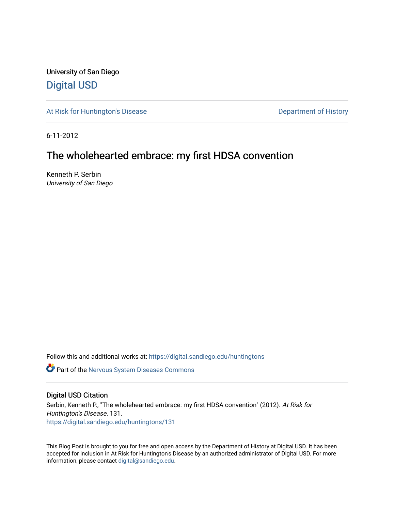University of San Diego [Digital USD](https://digital.sandiego.edu/)

[At Risk for Huntington's Disease](https://digital.sandiego.edu/huntingtons) **Department of History** Department of History

6-11-2012

# The wholehearted embrace: my first HDSA convention

Kenneth P. Serbin University of San Diego

Follow this and additional works at: [https://digital.sandiego.edu/huntingtons](https://digital.sandiego.edu/huntingtons?utm_source=digital.sandiego.edu%2Fhuntingtons%2F131&utm_medium=PDF&utm_campaign=PDFCoverPages)

**C** Part of the [Nervous System Diseases Commons](http://network.bepress.com/hgg/discipline/928?utm_source=digital.sandiego.edu%2Fhuntingtons%2F131&utm_medium=PDF&utm_campaign=PDFCoverPages)

#### Digital USD Citation

Serbin, Kenneth P., "The wholehearted embrace: my first HDSA convention" (2012). At Risk for Huntington's Disease. 131. [https://digital.sandiego.edu/huntingtons/131](https://digital.sandiego.edu/huntingtons/131?utm_source=digital.sandiego.edu%2Fhuntingtons%2F131&utm_medium=PDF&utm_campaign=PDFCoverPages)

This Blog Post is brought to you for free and open access by the Department of History at Digital USD. It has been accepted for inclusion in At Risk for Huntington's Disease by an authorized administrator of Digital USD. For more information, please contact [digital@sandiego.edu.](mailto:digital@sandiego.edu)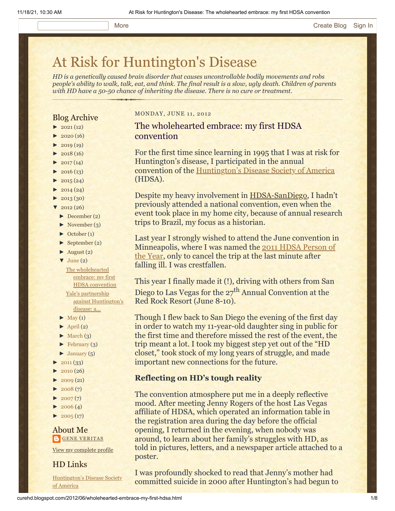# [At Risk for Huntington's Disease](http://curehd.blogspot.com/)

*HD is a genetically caused brain disorder that causes uncontrollable bodily movements and robs people's ability to walk, talk, eat, and think. The final result is a slow, ugly death. Children of parents with HD have a 50-50 chance of inheriting the disease. There is no cure or treatment.*

# Blog Archive

- $\blacktriangleright$  [2021](http://curehd.blogspot.com/2021/) (12)
- $\blacktriangleright$  [2020](http://curehd.blogspot.com/2020/) (16)
- $\blacktriangleright$  [2019](http://curehd.blogspot.com/2019/) (19)
- $\blacktriangleright$  [2018](http://curehd.blogspot.com/2018/) (16)
- $\cdot$  [2017](http://curehd.blogspot.com/2017/) (14)
- $2016(13)$  $2016(13)$
- $\blacktriangleright$  [2015](http://curehd.blogspot.com/2015/) (24)
- $\blacktriangleright$  [2014](http://curehd.blogspot.com/2014/) (24)
- $\blacktriangleright$  [2013](http://curehd.blogspot.com/2013/) (30)
- $'$  [2012](http://curehd.blogspot.com/2012/) (26)
	- [►](javascript:void(0)) [December](http://curehd.blogspot.com/2012/12/) (2)
	- $\blacktriangleright$  [November](http://curehd.blogspot.com/2012/11/) (3)
	- [►](javascript:void(0)) [October](http://curehd.blogspot.com/2012/10/) (1)
	- [►](javascript:void(0)) [September](http://curehd.blogspot.com/2012/09/) (2)
	- $\blacktriangleright$  [August](http://curehd.blogspot.com/2012/08/) (2)  $\blacktriangledown$  [June](http://curehd.blogspot.com/2012/06/) (2)

The [wholehearted](http://curehd.blogspot.com/2012/06/wholehearted-embrace-my-first-hdsa.html) embrace: my first HDSA convention

Yale's partnership against [Huntington's](http://curehd.blogspot.com/2012/06/yales-partnership-against-huntingtons.html) disease: a...

- $\blacktriangleright$  [May](http://curehd.blogspot.com/2012/05/) (1)
- $\blacktriangleright$  [April](http://curehd.blogspot.com/2012/04/) (2)
- $\blacktriangleright$  [March](http://curehd.blogspot.com/2012/03/) (3)
- $\blacktriangleright$  [February](http://curehd.blogspot.com/2012/02/) (3)
- $\blacktriangleright$  [January](http://curehd.blogspot.com/2012/01/)  $(5)$
- [►](javascript:void(0)) [2011](http://curehd.blogspot.com/2011/) (33)
- $2010(26)$  $2010(26)$
- $\blacktriangleright$  [2009](http://curehd.blogspot.com/2009/) (21)
- $2008(7)$  $2008(7)$
- $2007(7)$  $2007(7)$
- $\blacktriangleright$  [2006](http://curehd.blogspot.com/2006/) (4)
- $\blacktriangleright$  [2005](http://curehd.blogspot.com/2005/) (17)

About Me **GENE [VERITAS](https://www.blogger.com/profile/10911736205741688185)** 

View my [complete](https://www.blogger.com/profile/10911736205741688185) profile

HD Links

[Huntington's](http://www.hdsa.org/) Disease Society of America

#### MONDAY, JUNE 11, 2012

The wholehearted embrace: my first HDSA convention

For the first time since learning in 1995 that I was at risk for Huntington's disease, I participated in the annual convention of the [Huntington's Disease Society of America](http://www.hdsa.org/) (HDSA).

Despite my heavy involvement in [HDSA-SanDiego](http://www.hdsasandiego.org/), I hadn't previously attended a national convention, even when the event took place in my home city, because of annual research trips to Brazil, my focus as a historian.

Last year I strongly wished to attend the June convention in [Minneapolis, where I was named the 2011 HDSA Person of](http://curehd.blogspot.com/2011/07/some-reflections-on-being-named-hdsa_08.html) the Year, only to cancel the trip at the last minute after falling ill. I was crestfallen.

This year I finally made it (!), driving with others from San Diego to Las Vegas for the 27<sup>th</sup> Annual Convention at the Red Rock Resort (June 8-10).

Though I flew back to San Diego the evening of the first day in order to watch my 11-year-old daughter sing in public for the first time and therefore missed the rest of the event, the trip meant a lot. I took my biggest step yet out of the "HD closet," took stock of my long years of struggle, and made important new connections for the future.

#### **Reflecting on HD's tough reality**

The convention atmosphere put me in a deeply reflective mood. After meeting Jenny Rogers of the host Las Vegas affiliate of HDSA, which operated an information table in the registration area during the day before the official opening, I returned in the evening, when nobody was around, to learn about her family's struggles with HD, as told in pictures, letters, and a newspaper article attached to a poster.

I was profoundly shocked to read that Jenny's mother had committed suicide in 2000 after Huntington's had begun to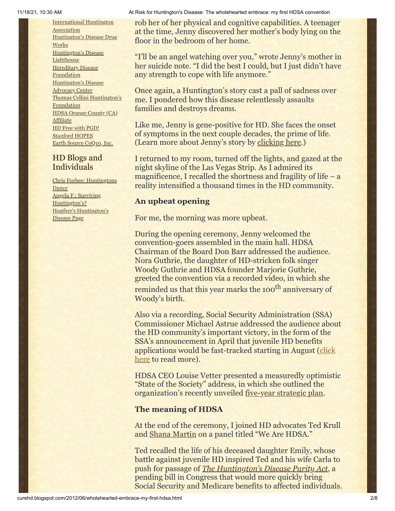[International](http://www.huntington-assoc.com/) Huntington **Association** [Huntington's](http://hddrugworks.org/) Disease Drug **Works** [Huntington's](http://www.hdlighthouse.org/) Disease **Lighthouse [Hereditary](http://www.hdfoundation.org/) Disease Foundation** [Huntington's](http://www.hdac.org/) Disease Advocacy Center Thomas [Cellini Huntington's](http://www.ourtchfoundation.org/) **Foundation** HDSA Orange County (CA) **[Affiliate](http://www.hdsaoc.org/)** HD Free with [PGD!](http://www.hdfreewithpgd.com/) [Stanford](http://www.stanford.edu/group/hopes/) HOPES Earth Source [CoQ10,](http://www.escoq10.com/) Inc.

# HD Blogs and Individuals

Chris Furbee: [Huntingtons](http://www.huntingtonsdance.org/) Dance Angela F.: Surviving [Huntington's?](http://survivinghuntingtons.blogspot.com/) Heather's [Huntington's](http://heatherdugdale.angelfire.com/) Disease Page

#### 11/18/21, 10:30 AM At Risk for Huntington's Disease: The wholehearted embrace: my first HDSA convention

rob her of her physical and cognitive capabilities. A teenager at the time, Jenny discovered her mother's body lying on the floor in the bedroom of her home.

"I'll be an angel watching over you," wrote Jenny's mother in her suicide note. "I did the best I could, but I just didn't have any strength to cope with life anymore."

Once again, a Huntington's story cast a pall of sadness over me. I pondered how this disease relentlessly assaults families and destroys dreams.

Like me, Jenny is gene-positive for HD. She faces the onset of symptoms in the next couple decades, the prime of life. (Learn more about Jenny's story by [clicking here.](http://www.youtube.com/watch?v=rleVDQ-4MsY))

I returned to my room, turned off the lights, and gazed at the night skyline of the Las Vegas Strip. As I admired its magnificence, I recalled the shortness and fragility of life  $-$  a reality intensified a thousand times in the HD community.

# **An upbeat opening**

For me, the morning was more upbeat.

During the opening ceremony, Jenny welcomed the convention-goers assembled in the main hall. HDSA Chairman of the Board Don Barr addressed the audience. Nora Guthrie, the daughter of HD-stricken folk singer Woody Guthrie and HDSA founder Marjorie Guthrie, greeted the convention via a recorded video, in which she reminded us that this year marks the 100<sup>th</sup> anniversary of Woody's birth.

Also via a recording, Social Security Administration (SSA) Commissioner Michael Astrue addressed the audience about the HD community's important victory, in the form of the SSA's announcement in April that juvenile HD benefits [applications would be fast-tracked starting in](http://curehd.blogspot.com/2012/05/compassionate-allowance-and-faster.html) August (click here to read more).

HDSA CEO Louise Vetter presented a measuredly optimistic "State of the Society" address, in which she outlined the organization's recently unveiled [five-year strategic plan](http://www.hdsa.org/about/hdsa-strategic-plan-introduction.html).

# **The meaning of HDSA**

At the end of the ceremony, I joined HD advocates Ted Krull and [Shana Martin](http://www.modelmayhem.com/1218918) on a panel titled "We Are HDSA."

Ted recalled the life of his deceased daughter Emily, whose battle against juvenile HD inspired Ted and his wife Carla to push for passage of *[The Huntington's Disease Parity Act](http://www.hdsa.org/living-with-huntingtons/advocacy/ssdi-medicare-bill/index.html)*, a pending bill in Congress that would more quickly bring Social Security and Medicare benefits to affected individuals.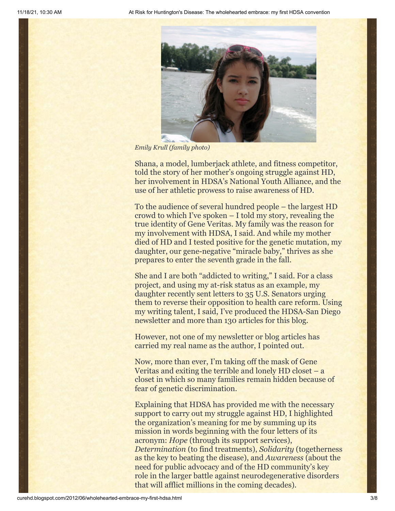

*Emily Krull (family photo)*

Shana, a model, lumberjack athlete, and fitness competitor, told the story of her mother's ongoing struggle against HD, her involvement in HDSA's National Youth Alliance, and the use of her athletic prowess to raise awareness of HD.

To the audience of several hundred people – the largest HD crowd to which I've spoken – I told my story, revealing the true identity of Gene Veritas. My family was the reason for my involvement with HDSA, I said. And while my mother died of HD and I tested positive for the genetic mutation, my daughter, our gene-negative "miracle baby," thrives as she prepares to enter the seventh grade in the fall.

She and I are both "addicted to writing," I said. For a class project, and using my at-risk status as an example, my daughter recently sent letters to 35 U.S. Senators urging them to reverse their opposition to health care reform. Using my writing talent, I said, I've produced the HDSA-San Diego newsletter and more than 130 articles for this blog.

However, not one of my newsletter or blog articles has carried my real name as the author, I pointed out.

Now, more than ever, I'm taking off the mask of Gene Veritas and exiting the terrible and lonely HD closet – a closet in which so many families remain hidden because of fear of genetic discrimination.

Explaining that HDSA has provided me with the necessary support to carry out my struggle against HD, I highlighted the organization's meaning for me by summing up its mission in words beginning with the four letters of its acronym: *Hope* (through its support services), *Determination* (to find treatments), *Solidarity* (togetherness as the key to beating the disease), and *Awareness* (about the need for public advocacy and of the HD community's key role in the larger battle against neurodegenerative disorders that will afflict millions in the coming decades).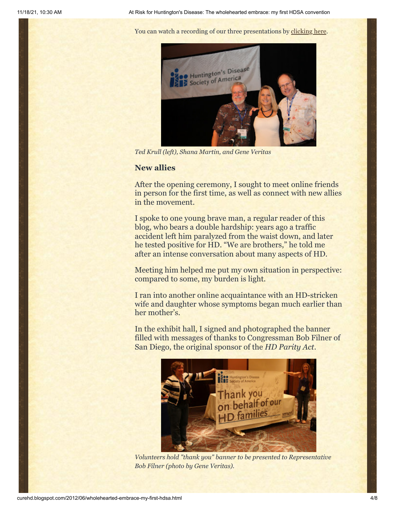You can watch a recording of our three presentations by [clicking here.](http://www.ustream.tv/recorded/23169317)



*Ted Krull (left), Shana Martin, and Gene Veritas*

# **New allies**

After the opening ceremony, I sought to meet online friends in person for the first time, as well as connect with new allies in the movement.

I spoke to one young brave man, a regular reader of this blog, who bears a double hardship: years ago a traffic accident left him paralyzed from the waist down, and later he tested positive for HD. "We are brothers," he told me after an intense conversation about many aspects of HD.

Meeting him helped me put my own situation in perspective: compared to some, my burden is light.

I ran into another online acquaintance with an HD-stricken wife and daughter whose symptoms began much earlier than her mother's.

In the exhibit hall, I signed and photographed the banner filled with messages of thanks to Congressman Bob Filner of San Diego, the original sponsor of the *HD Parity Act*.



*Volunteers hold "thank you" banner to be presented to Representative Bob Filner (photo by Gene Veritas).*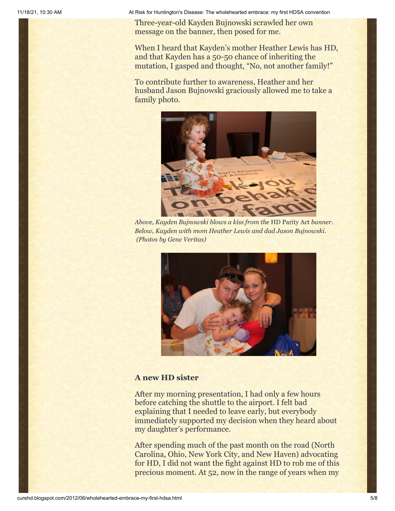11/18/21, 10:30 AM At Risk for Huntington's Disease: The wholehearted embrace: my first HDSA convention

Three-year-old Kayden Bujnowski scrawled her own message on the banner, then posed for me.

When I heard that Kayden's mother Heather Lewis has HD, and that Kayden has a 50-50 chance of inheriting the mutation, I gasped and thought, "No, not another family!"

To contribute further to awareness, Heather and her husband Jason Bujnowski graciously allowed me to take a family photo.



*Above, Kayden Bujnowski blows a kiss from the* HD Parity Act *banner. Below, Kayden with mom Heather Lewis and dad Jason Bujnowski. (Photos by Gene Veritas)*



# **A new HD sister**

After my morning presentation, I had only a few hours before catching the shuttle to the airport. I felt bad explaining that I needed to leave early, but everybody immediately supported my decision when they heard about my daughter's performance.

After spending much of the past month on the road (North Carolina, Ohio, New York City, and New Haven) advocating for HD, I did not want the fight against HD to rob me of this precious moment. At 52, now in the range of years when my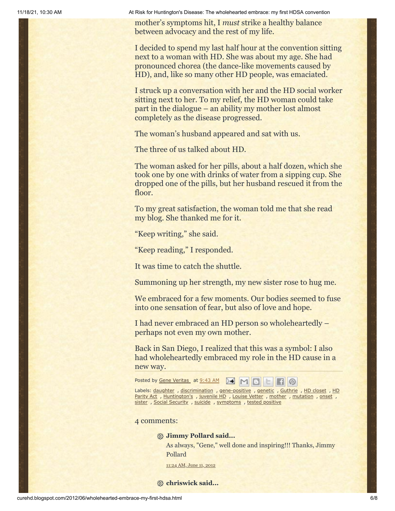11/18/21, 10:30 AM At Risk for Huntington's Disease: The wholehearted embrace: my first HDSA convention

mother's symptoms hit, I *must* strike a healthy balance between advocacy and the rest of my life.

I decided to spend my last half hour at the convention sitting next to a woman with HD. She was about my age. She had pronounced chorea (the dance-like movements caused by HD), and, like so many other HD people, was emaciated.

I struck up a conversation with her and the HD social worker sitting next to her. To my relief, the HD woman could take part in the dialogue – an ability my mother lost almost completely as the disease progressed.

The woman's husband appeared and sat with us.

The three of us talked about HD.

The woman asked for her pills, about a half dozen, which she took one by one with drinks of water from a sipping cup. She dropped one of the pills, but her husband rescued it from the floor.

To my great satisfaction, the woman told me that she read my blog. She thanked me for it.

"Keep writing," she said.

"Keep reading," I responded.

It was time to catch the shuttle.

Summoning up her strength, my new sister rose to hug me.

We embraced for a few moments. Our bodies seemed to fuse into one sensation of fear, but also of love and hope.

I had never embraced an HD person so wholeheartedly – perhaps not even my own mother.

Back in San Diego, I realized that this was a symbol: I also had wholeheartedly embraced my role in the HD cause in a new way.

Posted by Gene [Veritas](https://www.blogger.com/profile/03599828959793084715) at [9:43](http://curehd.blogspot.com/2012/06/wholehearted-embrace-my-first-hdsa.html) AM **AM M B M B B** 

Labels: [daughter](http://curehd.blogspot.com/search/label/daughter), [discrimination](http://curehd.blogspot.com/search/label/HD%20Parity%20Act), [gene-positive](http://curehd.blogspot.com/search/label/gene-positive), [genetic](http://curehd.blogspot.com/search/label/genetic), [Guthrie](http://curehd.blogspot.com/search/label/Guthrie), HD [closet](http://curehd.blogspot.com/search/label/HD%20closet), HD Parity Act , [Huntington's](http://curehd.blogspot.com/search/label/Huntington%27s) , [juvenile](http://curehd.blogspot.com/search/label/juvenile%20HD) HD , [Louise](http://curehd.blogspot.com/search/label/Louise%20Vetter) Vetter , [mother](http://curehd.blogspot.com/search/label/mother) , [mutation](http://curehd.blogspot.com/search/label/mutation) , [onset](http://curehd.blogspot.com/search/label/onset) , [sister](http://curehd.blogspot.com/search/label/sister) , Social [Security](http://curehd.blogspot.com/search/label/Social%20Security) , [suicide](http://curehd.blogspot.com/search/label/suicide) , [symptoms](http://curehd.blogspot.com/search/label/symptoms) , tested [positive](http://curehd.blogspot.com/search/label/tested%20positive)

4 comments:

**Jimmy Pollard said...**

As always, "Gene," well done and inspiring!!! Thanks, Jimmy Pollard

[11:24](http://curehd.blogspot.com/2012/06/wholehearted-embrace-my-first-hdsa.html?showComment=1339439080854#c4195650152549555617) AM, June 11, 2012

**chriswick said...**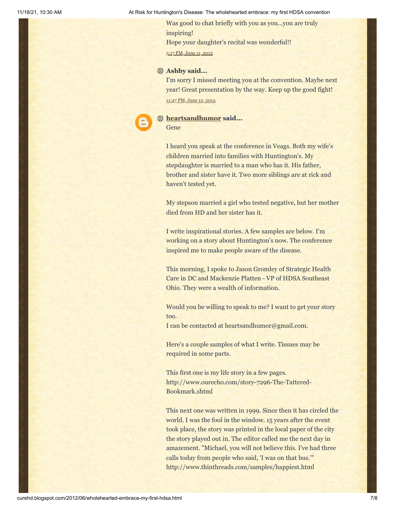11/18/21, 10:30 AM At Risk for Huntington's Disease: The wholehearted embrace: my first HDSA convention

Was good to chat briefly with you as you...you are truly inspiring! Hope your daughter's recital was wonderful!! 5:17 PM, [June](http://curehd.blogspot.com/2012/06/wholehearted-embrace-my-first-hdsa.html?showComment=1339460274221#c1764717750907605485) 11, 2012

#### **Ashby said...**

I'm sorry I missed meeting you at the convention. Maybe next year! Great presentation by the way. Keep up the good fight! [11:47](http://curehd.blogspot.com/2012/06/wholehearted-embrace-my-first-hdsa.html?showComment=1339570026987#c5956165322800625348) PM, June 12, 2012

### **[heartsandhumor](https://www.blogger.com/profile/03273652179964847000) said...**

Gene

I heard you speak at the conference in Veags. Both my wife's children married into families with Huntington's. My stepdaughter is married to a man who has it. His father, brother and sister have it. Two more siblings are at rick and haven't tested yet.

My stepson married a girl who tested negative, but her mother died from HD and her sister has it.

I write inspirational stories. A few samples are below. I'm working on a story about Huntington's now. The conference inspired me to make people aware of the disease.

This morning, I spoke to Jason Gromley of Strategic Health Care in DC and Mackenzie Platten - VP of HDSA Southeast Ohio. They were a wealth of information.

Would you be willing to speak to me? I want to get your story too.

I can be contacted at heartsandhumor@gmail.com.

Here's a couple samples of what I write. Tissues may be required in some parts.

This first one is my life story in a few pages. http://www.ourecho.com/story-7296-The-Tattered-Bookmark.shtml

This next one was written in 1999. Since then it has circled the world. I was the fool in the window. 15 years after the event took place, the story was printed in the local paper of the city the story played out in. The editor called me the next day in amazement. "Michael, you will not believe this. I've had three calls today from people who said, 'I was on that bus.'" http://www.thinthreads.com/samples/happiest.html